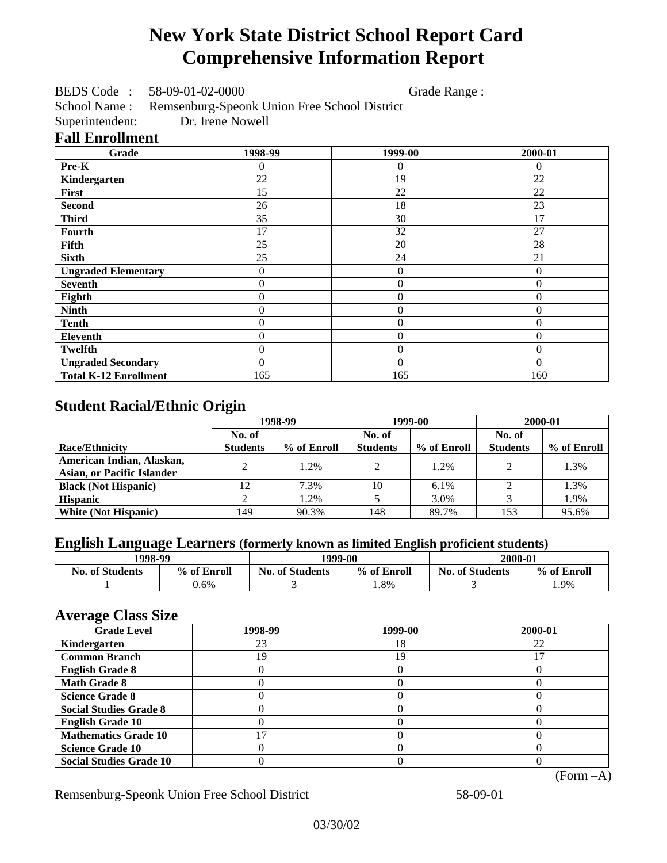# **New York State District School Report Card Comprehensive Information Report**

BEDS Code : 58-09-01-02-0000 Grade Range :

School Name : Remsenburg-Speonk Union Free School District<br>Superintendent: Dr. Irene Nowell

Superintendent:

#### **Fall Enrollment**

| Grade                        | 1998-99        | 1999-00          | 2000-01      |
|------------------------------|----------------|------------------|--------------|
| Pre-K                        | 0              | 0                | $\Omega$     |
| Kindergarten                 | 22             | 19               | 22           |
| First                        | 15             | 22               | 22           |
| <b>Second</b>                | 26             | 18               | 23           |
| <b>Third</b>                 | 35             | 30               | 17           |
| Fourth                       | 17             | 32               | 27           |
| Fifth                        | 25             | 20               | 28           |
| <b>Sixth</b>                 | 25             | 24               | 21           |
| <b>Ungraded Elementary</b>   | 0              | $\boldsymbol{0}$ | $\theta$     |
| <b>Seventh</b>               | $\overline{0}$ | $\theta$         | $\theta$     |
| Eighth                       | $\overline{0}$ | $\theta$         | $\mathbf{0}$ |
| <b>Ninth</b>                 | 0              | $\overline{0}$   | $\theta$     |
| <b>Tenth</b>                 | $\overline{0}$ | $\overline{0}$   | $\mathbf{0}$ |
| Eleventh                     | $\overline{0}$ | $\overline{0}$   | $\mathbf{0}$ |
| <b>Twelfth</b>               | $\overline{0}$ | $\overline{0}$   | $\theta$     |
| <b>Ungraded Secondary</b>    | $\theta$       | $\theta$         | $\Omega$     |
| <b>Total K-12 Enrollment</b> | 165            | 165              | 160          |

# **Student Racial/Ethnic Origin**

|                                   | 1998-99         |             | 1999-00         |             | 2000-01         |             |
|-----------------------------------|-----------------|-------------|-----------------|-------------|-----------------|-------------|
|                                   | No. of          |             | No. of          |             | No. of          |             |
| <b>Race/Ethnicity</b>             | <b>Students</b> | % of Enroll | <b>Students</b> | % of Enroll | <b>Students</b> | % of Enroll |
| American Indian, Alaskan,         | ↑               | 1.2%        | $\gamma$        | 1.2%        | $\gamma$        | 1.3%        |
| <b>Asian, or Pacific Islander</b> |                 |             |                 |             |                 |             |
| <b>Black (Not Hispanic)</b>       | 12              | 7.3%        | 10              | $6.1\%$     |                 | 1.3%        |
| <b>Hispanic</b>                   |                 | 1.2%        |                 | 3.0%        |                 | 1.9%        |
| <b>White (Not Hispanic)</b>       | 149             | 90.3%       | 148             | 89.7%       | 153             | 95.6%       |

## **English Language Learners (formerly known as limited English proficient students)**

| 1998-99                |             | 1999-00                |             | 2000-01                |             |
|------------------------|-------------|------------------------|-------------|------------------------|-------------|
| <b>No. of Students</b> | % of Enroll | <b>No. of Students</b> | % of Enroll | <b>No. of Students</b> | % of Enroll |
|                        | $0.6\%$     |                        | . .8%       |                        | 1.9%        |

#### **Average Class Size**

| <b>Grade Level</b>             | 1998-99 | 1999-00 | 2000-01   |
|--------------------------------|---------|---------|-----------|
| Kindergarten                   | 23      | 18      | 22        |
| <b>Common Branch</b>           | 19      | 19      |           |
| <b>English Grade 8</b>         |         |         |           |
| <b>Math Grade 8</b>            |         |         |           |
| <b>Science Grade 8</b>         |         |         |           |
| <b>Social Studies Grade 8</b>  |         |         |           |
| <b>English Grade 10</b>        |         |         |           |
| <b>Mathematics Grade 10</b>    | 17      |         |           |
| <b>Science Grade 10</b>        |         |         |           |
| <b>Social Studies Grade 10</b> |         |         |           |
|                                |         |         | (Form –A) |

Remsenburg-Speonk Union Free School District 58-09-01